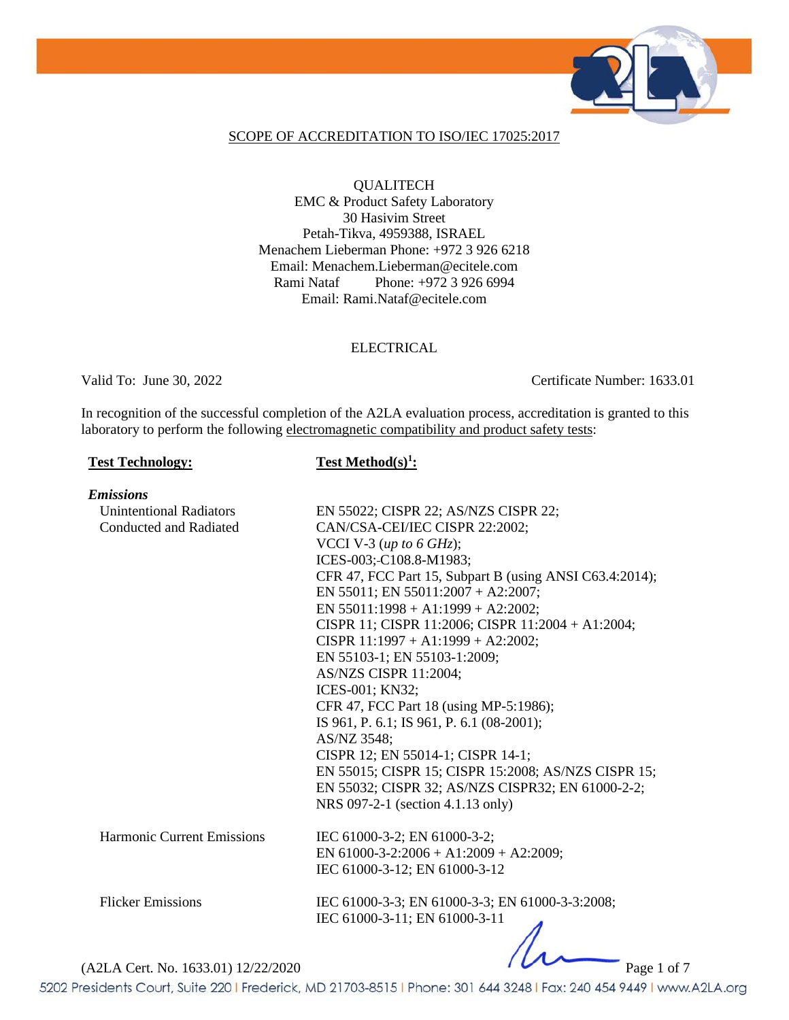

#### SCOPE OF ACCREDITATION TO ISO/IEC 17025:2017

**QUALITECH** EMC & Product Safety Laboratory 30 Hasivim Street Petah-Tikva, 4959388, ISRAEL Menachem Lieberman Phone: +972 3 926 6218 Email: Menachem.Lieberman@ecitele.com Rami Nataf Phone: +972 3 926 6994 Email: Rami.Nataf@ecitele.com

#### **ELECTRICAL**

Valid To: June 30, 2022 Certificate Number: 1633.01

In recognition of the successful completion of the A2LA evaluation process, accreditation is granted to this laboratory to perform the following electromagnetic compatibility and product safety tests:

#### **Test Technology:**

**Test Method(s)<sup>1</sup>:** 

| <b>Emissions</b>                    |                                                         |
|-------------------------------------|---------------------------------------------------------|
| <b>Unintentional Radiators</b>      | EN 55022; CISPR 22; AS/NZS CISPR 22;                    |
| <b>Conducted and Radiated</b>       | CAN/CSA-CEI/IEC CISPR 22:2002;                          |
|                                     | VCCI V-3 (up to 6 GHz);                                 |
|                                     | ICES-003; C108.8-M1983;                                 |
|                                     | CFR 47, FCC Part 15, Subpart B (using ANSI C63.4:2014); |
|                                     | EN 55011; EN 55011:2007 + A2:2007;                      |
|                                     | EN 55011:1998 + A1:1999 + A2:2002;                      |
|                                     | CISPR 11; CISPR 11:2006; CISPR 11:2004 + A1:2004;       |
|                                     | CISPR $11:1997 + A1:1999 + A2:2002$ ;                   |
|                                     | EN 55103-1; EN 55103-1:2009;                            |
|                                     | AS/NZS CISPR 11:2004;                                   |
|                                     | ICES-001; KN32;                                         |
|                                     | CFR 47, FCC Part 18 (using MP-5:1986);                  |
|                                     | IS 961, P. 6.1; IS 961, P. 6.1 (08-2001);               |
|                                     | AS/NZ 3548;                                             |
|                                     | CISPR 12; EN 55014-1; CISPR 14-1;                       |
|                                     | EN 55015; CISPR 15; CISPR 15:2008; AS/NZS CISPR 15;     |
|                                     | EN 55032; CISPR 32; AS/NZS CISPR32; EN 61000-2-2;       |
|                                     | NRS 097-2-1 (section 4.1.13 only)                       |
| <b>Harmonic Current Emissions</b>   | IEC 61000-3-2; EN 61000-3-2;                            |
|                                     | EN 61000-3-2:2006 + A1:2009 + A2:2009;                  |
|                                     | IEC 61000-3-12; EN 61000-3-12                           |
|                                     |                                                         |
| <b>Flicker Emissions</b>            | IEC 61000-3-3; EN 61000-3-3; EN 61000-3-3:2008;         |
|                                     | IEC 61000-3-11; EN 61000-3-11                           |
|                                     |                                                         |
|                                     |                                                         |
| (A2LA Cert. No. 1633.01) 12/22/2020 | Page 1 of 7                                             |

5202 Presidents Court, Suite 220 | Frederick, MD 21703-8515 | Phone: 301 644 3248 | Fax: 240 454 9449 | www.A2LA.org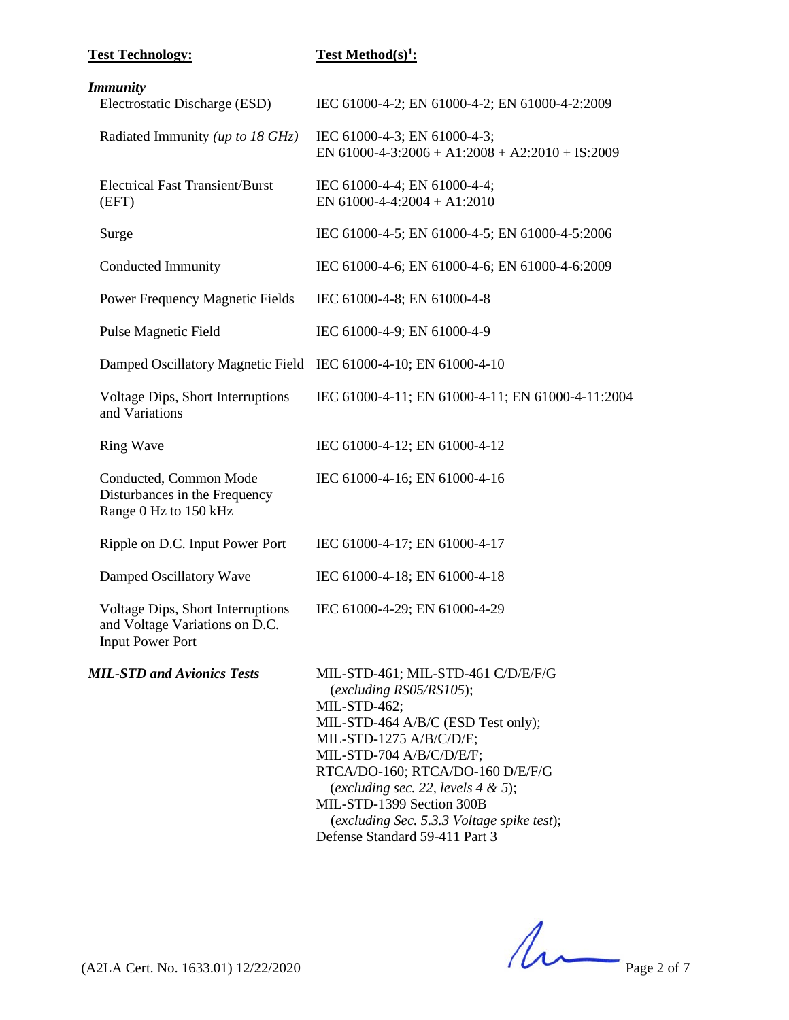# **Test Method(s)<sup>1</sup>:**

# *Immunity*

| 1111111111111 y<br>Electrostatic Discharge (ESD)                                               | IEC 61000-4-2; EN 61000-4-2; EN 61000-4-2:2009                                                                                                                                                                                                                                                                                                                          |
|------------------------------------------------------------------------------------------------|-------------------------------------------------------------------------------------------------------------------------------------------------------------------------------------------------------------------------------------------------------------------------------------------------------------------------------------------------------------------------|
| Radiated Immunity (up to 18 GHz)                                                               | IEC 61000-4-3; EN 61000-4-3;<br>EN 61000-4-3:2006 + A1:2008 + A2:2010 + IS:2009                                                                                                                                                                                                                                                                                         |
| <b>Electrical Fast Transient/Burst</b><br>(EFT)                                                | IEC 61000-4-4; EN 61000-4-4;<br>EN 61000-4-4:2004 + A1:2010                                                                                                                                                                                                                                                                                                             |
| Surge                                                                                          | IEC 61000-4-5; EN 61000-4-5; EN 61000-4-5:2006                                                                                                                                                                                                                                                                                                                          |
| <b>Conducted Immunity</b>                                                                      | IEC 61000-4-6; EN 61000-4-6; EN 61000-4-6:2009                                                                                                                                                                                                                                                                                                                          |
| Power Frequency Magnetic Fields                                                                | IEC 61000-4-8; EN 61000-4-8                                                                                                                                                                                                                                                                                                                                             |
| <b>Pulse Magnetic Field</b>                                                                    | IEC 61000-4-9; EN 61000-4-9                                                                                                                                                                                                                                                                                                                                             |
| Damped Oscillatory Magnetic Field                                                              | IEC 61000-4-10; EN 61000-4-10                                                                                                                                                                                                                                                                                                                                           |
| Voltage Dips, Short Interruptions<br>and Variations                                            | IEC 61000-4-11; EN 61000-4-11; EN 61000-4-11:2004                                                                                                                                                                                                                                                                                                                       |
| <b>Ring Wave</b>                                                                               | IEC 61000-4-12; EN 61000-4-12                                                                                                                                                                                                                                                                                                                                           |
| Conducted, Common Mode<br>Disturbances in the Frequency<br>Range 0 Hz to 150 kHz               | IEC 61000-4-16; EN 61000-4-16                                                                                                                                                                                                                                                                                                                                           |
| Ripple on D.C. Input Power Port                                                                | IEC 61000-4-17; EN 61000-4-17                                                                                                                                                                                                                                                                                                                                           |
| Damped Oscillatory Wave                                                                        | IEC 61000-4-18; EN 61000-4-18                                                                                                                                                                                                                                                                                                                                           |
| Voltage Dips, Short Interruptions<br>and Voltage Variations on D.C.<br><b>Input Power Port</b> | IEC 61000-4-29; EN 61000-4-29                                                                                                                                                                                                                                                                                                                                           |
| <b>MIL-STD and Avionics Tests</b>                                                              | MIL-STD-461; MIL-STD-461 C/D/E/F/G<br>$(excluding\ RS05/RS105);$<br>MIL-STD-462;<br>MIL-STD-464 A/B/C (ESD Test only);<br>MIL-STD-1275 A/B/C/D/E;<br>MIL-STD-704 A/B/C/D/E/F;<br>RTCA/DO-160; RTCA/DO-160 D/E/F/G<br>(excluding sec. 22, levels $4 & 5$ );<br>MIL-STD-1399 Section 300B<br>(excluding Sec. 5.3.3 Voltage spike test);<br>Defense Standard 59-411 Part 3 |

 $(A2LA$  Cert. No. 1633.01) 12/22/2020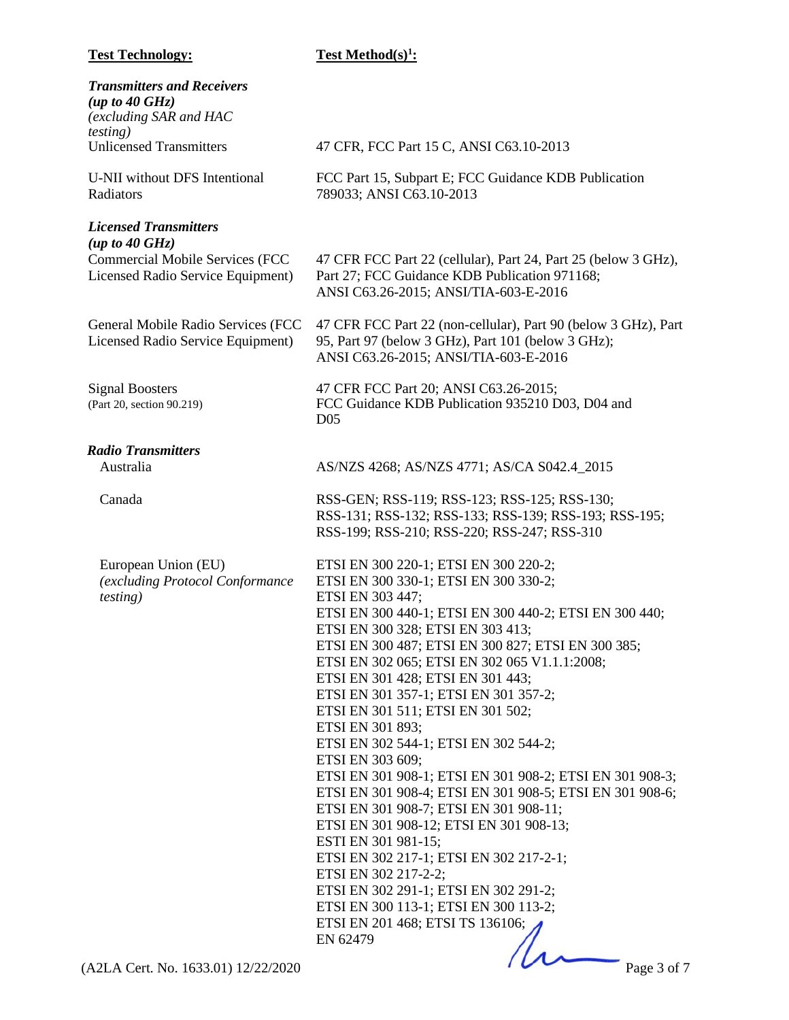**Test Method(s)<sup>1</sup>:** 

| 47 CFR, FCC Part 15 C, ANSI C63.10-2013                                                                                                                                                                                                                                                                                                                                                                                                                                                                                                                                                                                                                                        |
|--------------------------------------------------------------------------------------------------------------------------------------------------------------------------------------------------------------------------------------------------------------------------------------------------------------------------------------------------------------------------------------------------------------------------------------------------------------------------------------------------------------------------------------------------------------------------------------------------------------------------------------------------------------------------------|
| FCC Part 15, Subpart E; FCC Guidance KDB Publication<br>789033; ANSI C63.10-2013                                                                                                                                                                                                                                                                                                                                                                                                                                                                                                                                                                                               |
|                                                                                                                                                                                                                                                                                                                                                                                                                                                                                                                                                                                                                                                                                |
| 47 CFR FCC Part 22 (cellular), Part 24, Part 25 (below 3 GHz),<br>Part 27; FCC Guidance KDB Publication 971168;<br>ANSI C63.26-2015; ANSI/TIA-603-E-2016                                                                                                                                                                                                                                                                                                                                                                                                                                                                                                                       |
| 47 CFR FCC Part 22 (non-cellular), Part 90 (below 3 GHz), Part<br>95, Part 97 (below 3 GHz), Part 101 (below 3 GHz);<br>ANSI C63.26-2015; ANSI/TIA-603-E-2016                                                                                                                                                                                                                                                                                                                                                                                                                                                                                                                  |
| 47 CFR FCC Part 20; ANSI C63.26-2015;<br>FCC Guidance KDB Publication 935210 D03, D04 and<br>D <sub>05</sub>                                                                                                                                                                                                                                                                                                                                                                                                                                                                                                                                                                   |
|                                                                                                                                                                                                                                                                                                                                                                                                                                                                                                                                                                                                                                                                                |
| AS/NZS 4268; AS/NZS 4771; AS/CA S042.4_2015                                                                                                                                                                                                                                                                                                                                                                                                                                                                                                                                                                                                                                    |
| RSS-GEN; RSS-119; RSS-123; RSS-125; RSS-130;<br>RSS-131; RSS-132; RSS-133; RSS-139; RSS-193; RSS-195;<br>RSS-199; RSS-210; RSS-220; RSS-247; RSS-310                                                                                                                                                                                                                                                                                                                                                                                                                                                                                                                           |
| ETSI EN 300 220-1; ETSI EN 300 220-2;<br>ETSI EN 300 330-1; ETSI EN 300 330-2;<br>ETSI EN 303 447;<br>ETSI EN 300 440-1; ETSI EN 300 440-2; ETSI EN 300 440;<br>ETSI EN 300 328; ETSI EN 303 413;<br>ETSI EN 300 487; ETSI EN 300 827; ETSI EN 300 385;<br>ETSI EN 302 065; ETSI EN 302 065 V1.1.1:2008;<br>ETSI EN 301 428; ETSI EN 301 443;<br>ETSI EN 301 357-1; ETSI EN 301 357-2;<br>ETSI EN 301 511; ETSI EN 301 502;<br>ETSI EN 301 893;<br>ETSI EN 302 544-1; ETSI EN 302 544-2;<br>ETSI EN 303 609;<br>ETSI EN 301 908-1; ETSI EN 301 908-2; ETSI EN 301 908-3;<br>ETSI EN 301 908-4; ETSI EN 301 908-5; ETSI EN 301 908-6;<br>ETSI EN 301 908-7; ETSI EN 301 908-11; |
| ETSI EN 301 908-12; ETSI EN 301 908-13;<br>ESTI EN 301 981-15;<br>ETSI EN 302 217-1; ETSI EN 302 217-2-1;<br>ETSI EN 302 217-2-2;<br>ETSI EN 302 291-1; ETSI EN 302 291-2;<br>ETSI EN 300 113-1; ETSI EN 300 113-2;<br>ETSI EN 201 468; ETSI TS 136106;<br>EN 62479                                                                                                                                                                                                                                                                                                                                                                                                            |
|                                                                                                                                                                                                                                                                                                                                                                                                                                                                                                                                                                                                                                                                                |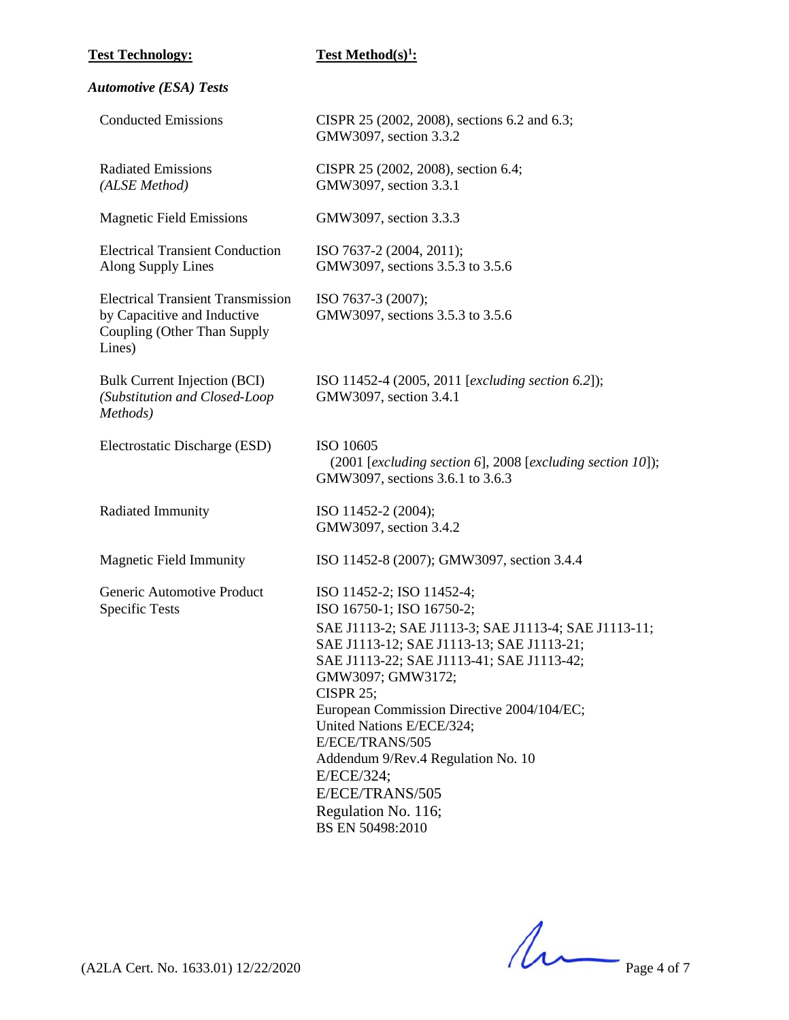**Test Method(s)<sup>1</sup>:** 

| <b>Automotive (ESA) Tests</b> |  |  |
|-------------------------------|--|--|
|-------------------------------|--|--|

| <b>Conducted Emissions</b>                                                                                       | CISPR 25 (2002, 2008), sections 6.2 and 6.3;<br>GMW3097, section 3.3.2                                                                                                                                                                                                                                                                                                                              |
|------------------------------------------------------------------------------------------------------------------|-----------------------------------------------------------------------------------------------------------------------------------------------------------------------------------------------------------------------------------------------------------------------------------------------------------------------------------------------------------------------------------------------------|
| <b>Radiated Emissions</b><br>(ALSE Method)                                                                       | CISPR 25 (2002, 2008), section 6.4;<br>GMW3097, section 3.3.1                                                                                                                                                                                                                                                                                                                                       |
| <b>Magnetic Field Emissions</b>                                                                                  | GMW3097, section 3.3.3                                                                                                                                                                                                                                                                                                                                                                              |
| <b>Electrical Transient Conduction</b><br>Along Supply Lines                                                     | ISO 7637-2 (2004, 2011);<br>GMW3097, sections 3.5.3 to 3.5.6                                                                                                                                                                                                                                                                                                                                        |
| <b>Electrical Transient Transmission</b><br>by Capacitive and Inductive<br>Coupling (Other Than Supply<br>Lines) | ISO 7637-3 (2007);<br>GMW3097, sections 3.5.3 to 3.5.6                                                                                                                                                                                                                                                                                                                                              |
| <b>Bulk Current Injection (BCI)</b><br>(Substitution and Closed-Loop<br>Methods)                                 | ISO 11452-4 (2005, 2011 [excluding section 6.2]);<br>GMW3097, section 3.4.1                                                                                                                                                                                                                                                                                                                         |
| Electrostatic Discharge (ESD)                                                                                    | ISO 10605<br>$(2001$ [excluding section 6], 2008 [excluding section 10]);<br>GMW3097, sections 3.6.1 to 3.6.3                                                                                                                                                                                                                                                                                       |
| Radiated Immunity                                                                                                | ISO 11452-2 (2004);<br>GMW3097, section 3.4.2                                                                                                                                                                                                                                                                                                                                                       |
| <b>Magnetic Field Immunity</b>                                                                                   | ISO 11452-8 (2007); GMW3097, section 3.4.4                                                                                                                                                                                                                                                                                                                                                          |
| Generic Automotive Product<br><b>Specific Tests</b>                                                              | ISO 11452-2; ISO 11452-4;<br>ISO 16750-1; ISO 16750-2;                                                                                                                                                                                                                                                                                                                                              |
|                                                                                                                  | SAE J1113-2; SAE J1113-3; SAE J1113-4; SAE J1113-11;<br>SAE J1113-12; SAE J1113-13; SAE J1113-21;<br>SAE J1113-22; SAE J1113-41; SAE J1113-42;<br>GMW3097; GMW3172;<br>CISPR $25$ ;<br>European Commission Directive 2004/104/EC;<br>United Nations E/ECE/324;<br>E/ECE/TRANS/505<br>Addendum 9/Rev.4 Regulation No. 10<br>E/ECE/324;<br>E/ECE/TRANS/505<br>Regulation No. 116;<br>BS EN 50498:2010 |

 $(A2LA$  Cert. No. 1633.01) 12/22/2020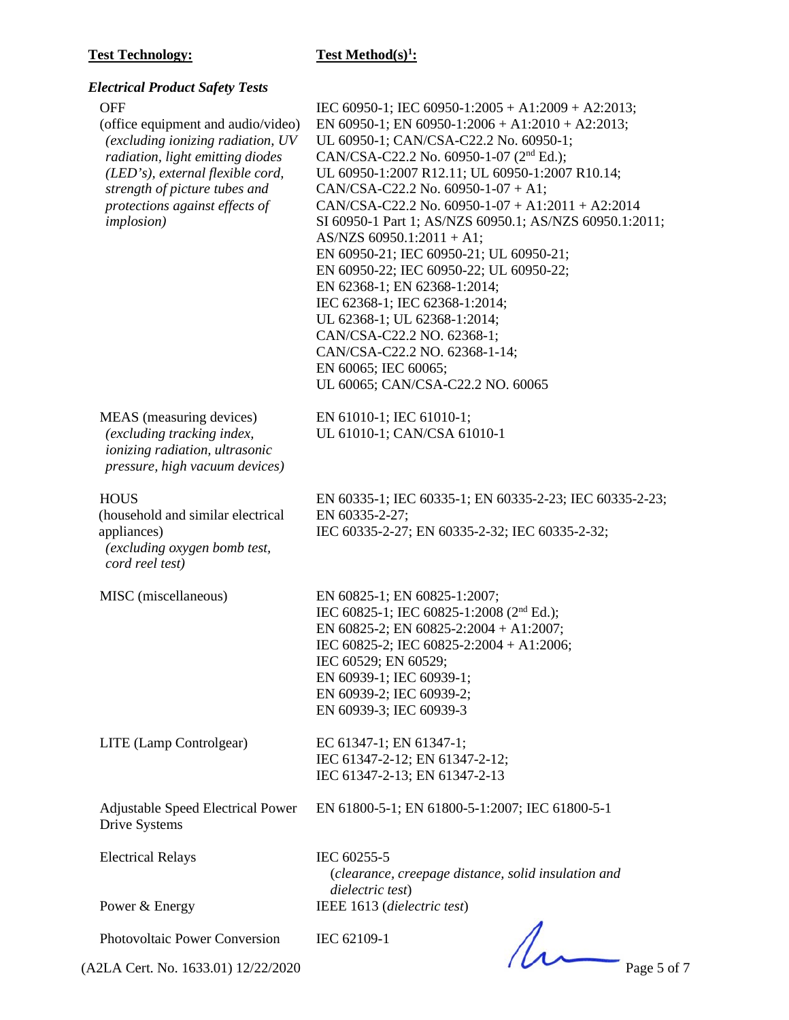# **Test Method(s)<sup>1</sup>:**

| <b>Electrical Product Safety Tests</b>                                                                                                                                                                                                                 |                                                                                                                                                                                                                                                                                                                                                                                                                                                                                                                                                                                                                                                                                                                                                                  |
|--------------------------------------------------------------------------------------------------------------------------------------------------------------------------------------------------------------------------------------------------------|------------------------------------------------------------------------------------------------------------------------------------------------------------------------------------------------------------------------------------------------------------------------------------------------------------------------------------------------------------------------------------------------------------------------------------------------------------------------------------------------------------------------------------------------------------------------------------------------------------------------------------------------------------------------------------------------------------------------------------------------------------------|
| <b>OFF</b><br>(office equipment and audio/video)<br>(excluding ionizing radiation, UV<br>radiation, light emitting diodes<br>(LED's), external flexible cord,<br>strength of picture tubes and<br>protections against effects of<br><i>implosion</i> ) | IEC 60950-1; IEC 60950-1:2005 + A1:2009 + A2:2013;<br>EN 60950-1; EN 60950-1:2006 + A1:2010 + A2:2013;<br>UL 60950-1; CAN/CSA-C22.2 No. 60950-1;<br>CAN/CSA-C22.2 No. 60950-1-07 (2 <sup>nd</sup> Ed.);<br>UL 60950-1:2007 R12.11; UL 60950-1:2007 R10.14;<br>CAN/CSA-C22.2 No. 60950-1-07 + A1;<br>CAN/CSA-C22.2 No. 60950-1-07 + A1:2011 + A2:2014<br>SI 60950-1 Part 1; AS/NZS 60950.1; AS/NZS 60950.1:2011;<br>AS/NZS 60950.1:2011 + A1;<br>EN 60950-21; IEC 60950-21; UL 60950-21;<br>EN 60950-22; IEC 60950-22; UL 60950-22;<br>EN 62368-1; EN 62368-1:2014;<br>IEC 62368-1; IEC 62368-1:2014;<br>UL 62368-1; UL 62368-1:2014;<br>CAN/CSA-C22.2 NO. 62368-1;<br>CAN/CSA-C22.2 NO. 62368-1-14;<br>EN 60065; IEC 60065;<br>UL 60065; CAN/CSA-C22.2 NO. 60065 |
| MEAS (measuring devices)<br>(excluding tracking index,<br>ionizing radiation, ultrasonic<br>pressure, high vacuum devices)                                                                                                                             | EN 61010-1; IEC 61010-1;<br>UL 61010-1; CAN/CSA 61010-1                                                                                                                                                                                                                                                                                                                                                                                                                                                                                                                                                                                                                                                                                                          |
| <b>HOUS</b><br>(household and similar electrical<br>appliances)<br>(excluding oxygen bomb test,<br>cord reel test)                                                                                                                                     | EN 60335-1; IEC 60335-1; EN 60335-2-23; IEC 60335-2-23;<br>EN 60335-2-27;<br>IEC 60335-2-27; EN 60335-2-32; IEC 60335-2-32;                                                                                                                                                                                                                                                                                                                                                                                                                                                                                                                                                                                                                                      |
| MISC (miscellaneous)                                                                                                                                                                                                                                   | EN 60825-1; EN 60825-1:2007;<br>IEC 60825-1; IEC 60825-1:2008 (2 <sup>nd</sup> Ed.);<br>EN 60825-2; EN 60825-2:2004 + A1:2007;<br>IEC 60825-2; IEC 60825-2:2004 + A1:2006;<br>IEC 60529; EN 60529;<br>EN 60939-1; IEC 60939-1;<br>EN 60939-2; IEC 60939-2;<br>EN 60939-3; IEC 60939-3                                                                                                                                                                                                                                                                                                                                                                                                                                                                            |
| LITE (Lamp Controlgear)                                                                                                                                                                                                                                | EC 61347-1; EN 61347-1;<br>IEC 61347-2-12; EN 61347-2-12;<br>IEC 61347-2-13; EN 61347-2-13                                                                                                                                                                                                                                                                                                                                                                                                                                                                                                                                                                                                                                                                       |
| <b>Adjustable Speed Electrical Power</b><br>Drive Systems                                                                                                                                                                                              | EN 61800-5-1; EN 61800-5-1:2007; IEC 61800-5-1                                                                                                                                                                                                                                                                                                                                                                                                                                                                                                                                                                                                                                                                                                                   |
| <b>Electrical Relays</b>                                                                                                                                                                                                                               | IEC 60255-5<br>(clearance, creepage distance, solid insulation and<br>dielectric test)                                                                                                                                                                                                                                                                                                                                                                                                                                                                                                                                                                                                                                                                           |
| Power & Energy                                                                                                                                                                                                                                         | IEEE 1613 (dielectric test)                                                                                                                                                                                                                                                                                                                                                                                                                                                                                                                                                                                                                                                                                                                                      |
| Photovoltaic Power Conversion                                                                                                                                                                                                                          | IEC 62109-1                                                                                                                                                                                                                                                                                                                                                                                                                                                                                                                                                                                                                                                                                                                                                      |

(A2LA Cert. No. 1633.01) 12/22/2020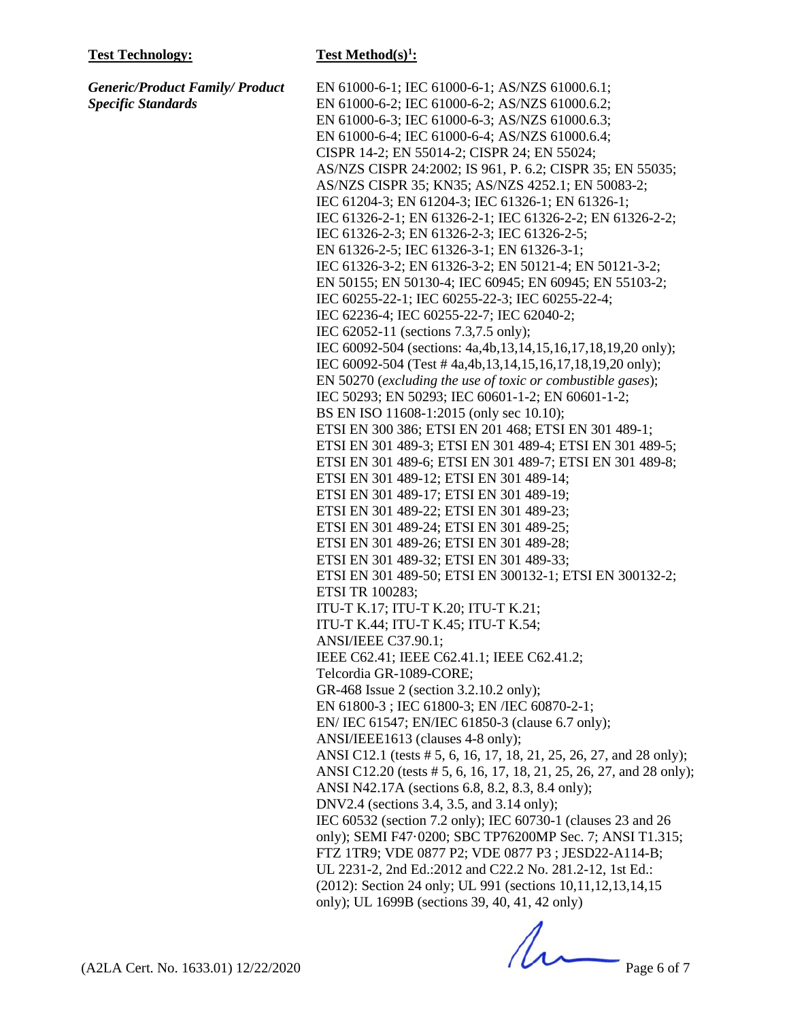*Generic/Product Family/ Product Specific Standards*

#### **Test Method(s)<sup>1</sup>:**

EN 61000-6-1; IEC 61000-6-1; AS/NZS 61000.6.1; EN 61000-6-2; IEC 61000-6-2; AS/NZS 61000.6.2; EN 61000-6-3; IEC 61000-6-3; AS/NZS 61000.6.3; EN 61000-6-4; IEC 61000-6-4; AS/NZS 61000.6.4; CISPR 14-2; EN 55014-2; CISPR 24; EN 55024; AS/NZS CISPR 24:2002; IS 961, P. 6.2; CISPR 35; EN 55035; AS/NZS CISPR 35; KN35; AS/NZS 4252.1; EN 50083-2; IEC 61204-3; EN 61204-3; IEC 61326-1; EN 61326-1; IEC 61326-2-1; EN 61326-2-1; IEC 61326-2-2; EN 61326-2-2; IEC 61326-2-3; EN 61326-2-3; IEC 61326-2-5; EN 61326-2-5; IEC 61326-3-1; EN 61326-3-1; IEC 61326-3-2; EN 61326-3-2; EN 50121-4; EN 50121-3-2; EN 50155; EN 50130-4; IEC 60945; EN 60945; EN 55103-2; IEC 60255-22-1; IEC 60255-22-3; IEC 60255-22-4; IEC 62236-4; IEC 60255-22-7; IEC 62040-2; IEC 62052-11 (sections 7.3,7.5 only); IEC 60092-504 (sections: 4a,4b,13,14,15,16,17,18,19,20 only); IEC 60092-504 (Test # 4a,4b,13,14,15,16,17,18,19,20 only); EN 50270 (*excluding the use of toxic or combustible gases*); IEC 50293; EN 50293; IEC 60601-1-2; EN 60601-1-2; BS EN ISO 11608-1:2015 (only sec 10.10); ETSI EN 300 386; ETSI EN 201 468; ETSI EN 301 489-1; ETSI EN 301 489-3; ETSI EN 301 489-4; ETSI EN 301 489-5; ETSI EN 301 489-6; ETSI EN 301 489-7; ETSI EN 301 489-8; ETSI EN 301 489-12; ETSI EN 301 489-14; ETSI EN 301 489-17; ETSI EN 301 489-19; ETSI EN 301 489-22; ETSI EN 301 489-23; ETSI EN 301 489-24; ETSI EN 301 489-25; ETSI EN 301 489-26; ETSI EN 301 489-28; ETSI EN 301 489-32; ETSI EN 301 489-33; ETSI EN 301 489-50; ETSI EN 300132-1; ETSI EN 300132-2; ETSI TR 100283; ITU-T K.17; ITU-T K.20; ITU-T K.21; ITU-T K.44; ITU-T K.45; ITU-T K.54; ANSI/IEEE C37.90.1; IEEE C62.41; IEEE C62.41.1; IEEE C62.41.2; Telcordia GR-1089-CORE; GR-468 Issue 2 (section 3.2.10.2 only); EN 61800-3 ; IEC 61800-3; EN /IEC 60870-2-1; EN/ IEC 61547; EN/IEC 61850-3 (clause 6.7 only); ANSI/IEEE1613 (clauses 4-8 only); ANSI C12.1 (tests # 5, 6, 16, 17, 18, 21, 25, 26, 27, and 28 only); ANSI C12.20 (tests # 5, 6, 16, 17, 18, 21, 25, 26, 27, and 28 only); ANSI N42.17A (sections 6.8, 8.2, 8.3, 8.4 only); DNV2.4 (sections 3.4, 3.5, and 3.14 only); IEC 60532 (section 7.2 only); IEC 60730-1 (clauses 23 and 26 only); SEMI F47·0200; SBC TP76200MP Sec. 7; ANSI T1.315; FTZ 1TR9; VDE 0877 P2; VDE 0877 P3 ; JESD22-A114-B; UL 2231-2, 2nd Ed.:2012 and C22.2 No. 281.2-12, 1st Ed.: (2012): Section 24 only; UL 991 (sections 10,11,12,13,14,15 only); UL 1699B (sections 39, 40, 41, 42 only)

 $(42LA$  Cert. No. 1633.01) 12/22/2020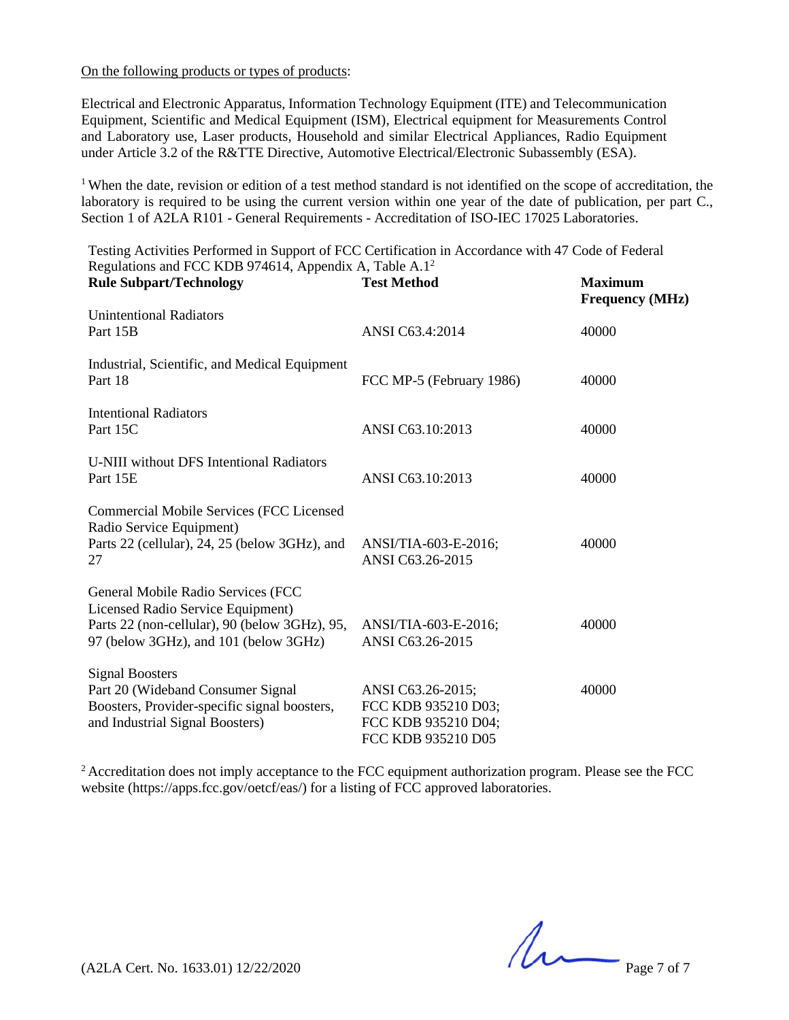#### On the following products or types of products:

Electrical and Electronic Apparatus, Information Technology Equipment (ITE) and Telecommunication Equipment, Scientific and Medical Equipment (ISM), Electrical equipment for Measurements Control and Laboratory use, Laser products, Household and similar Electrical Appliances, Radio Equipment under Article 3.2 of the R&TTE Directive, Automotive Electrical/Electronic Subassembly (ESA).

<sup>1</sup> When the date, revision or edition of a test method standard is not identified on the scope of accreditation, the laboratory is required to be using the current version within one year of the date of publication, per part C., Section 1 of A2LA R101 - General Requirements - Accreditation of ISO-IEC 17025 Laboratories.

| Testing Activities Performed in Support of FCC Certification in Accordance with 47 Code of Federal<br>Regulations and FCC KDB 974614, Appendix A, Table A.1 <sup>2</sup> |                                                                                       |                                          |  |  |
|--------------------------------------------------------------------------------------------------------------------------------------------------------------------------|---------------------------------------------------------------------------------------|------------------------------------------|--|--|
| <b>Rule Subpart/Technology</b>                                                                                                                                           | <b>Test Method</b>                                                                    | <b>Maximum</b><br><b>Frequency</b> (MHz) |  |  |
| <b>Unintentional Radiators</b><br>Part 15B                                                                                                                               | ANSI C63.4:2014                                                                       | 40000                                    |  |  |
| Industrial, Scientific, and Medical Equipment<br>Part 18                                                                                                                 | FCC MP-5 (February 1986)                                                              | 40000                                    |  |  |
| <b>Intentional Radiators</b><br>Part 15C                                                                                                                                 | ANSI C63.10:2013                                                                      | 40000                                    |  |  |
| U-NIII without DFS Intentional Radiators<br>Part 15E                                                                                                                     | ANSI C63.10:2013                                                                      | 40000                                    |  |  |
| <b>Commercial Mobile Services (FCC Licensed)</b><br>Radio Service Equipment)<br>Parts 22 (cellular), 24, 25 (below 3GHz), and<br>27                                      | ANSI/TIA-603-E-2016;<br>ANSI C63.26-2015                                              | 40000                                    |  |  |
| General Mobile Radio Services (FCC<br>Licensed Radio Service Equipment)<br>Parts 22 (non-cellular), 90 (below 3GHz), 95,<br>97 (below 3GHz), and 101 (below 3GHz)        | ANSI/TIA-603-E-2016;<br>ANSI C63.26-2015                                              | 40000                                    |  |  |
| <b>Signal Boosters</b><br>Part 20 (Wideband Consumer Signal<br>Boosters, Provider-specific signal boosters,<br>and Industrial Signal Boosters)                           | ANSI C63.26-2015;<br>FCC KDB 935210 D03;<br>FCC KDB 935210 D04;<br>FCC KDB 935210 D05 | 40000                                    |  |  |

Testing Activities Performed in Support of FCC Certification in Accordance with 47 Code of Federal

<sup>2</sup> Accreditation does not imply acceptance to the FCC equipment authorization program. Please see the FCC website (https://apps.fcc.gov/oetcf/eas/) for a listing of FCC approved laboratories.

 $(42LA$  Cert. No. 1633.01) 12/22/2020